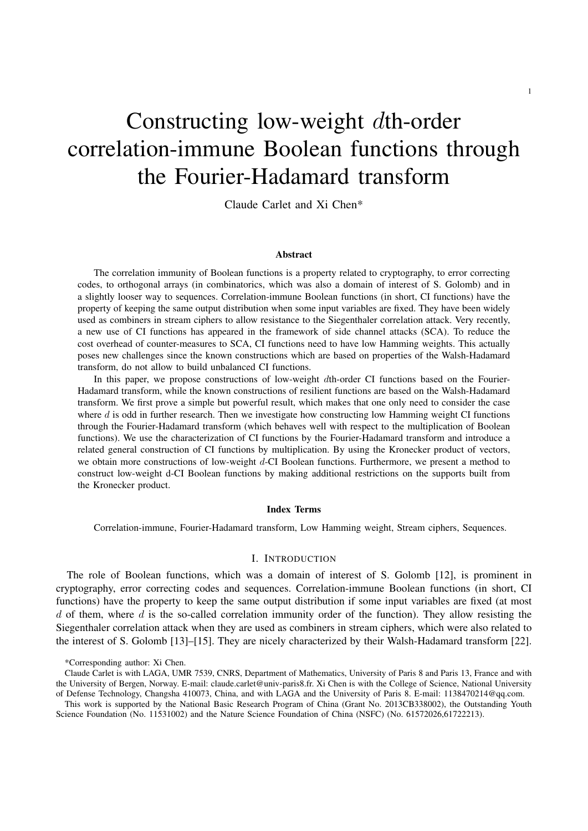# Constructing low-weight dth-order correlation-immune Boolean functions through the Fourier-Hadamard transform

Claude Carlet and Xi Chen\*

#### Abstract

The correlation immunity of Boolean functions is a property related to cryptography, to error correcting codes, to orthogonal arrays (in combinatorics, which was also a domain of interest of S. Golomb) and in a slightly looser way to sequences. Correlation-immune Boolean functions (in short, CI functions) have the property of keeping the same output distribution when some input variables are fixed. They have been widely used as combiners in stream ciphers to allow resistance to the Siegenthaler correlation attack. Very recently, a new use of CI functions has appeared in the framework of side channel attacks (SCA). To reduce the cost overhead of counter-measures to SCA, CI functions need to have low Hamming weights. This actually poses new challenges since the known constructions which are based on properties of the Walsh-Hadamard transform, do not allow to build unbalanced CI functions.

In this paper, we propose constructions of low-weight dth-order CI functions based on the Fourier-Hadamard transform, while the known constructions of resilient functions are based on the Walsh-Hadamard transform. We first prove a simple but powerful result, which makes that one only need to consider the case where d is odd in further research. Then we investigate how constructing low Hamming weight CI functions through the Fourier-Hadamard transform (which behaves well with respect to the multiplication of Boolean functions). We use the characterization of CI functions by the Fourier-Hadamard transform and introduce a related general construction of CI functions by multiplication. By using the Kronecker product of vectors, we obtain more constructions of low-weight d-CI Boolean functions. Furthermore, we present a method to construct low-weight d-CI Boolean functions by making additional restrictions on the supports built from the Kronecker product.

### Index Terms

Correlation-immune, Fourier-Hadamard transform, Low Hamming weight, Stream ciphers, Sequences.

# I. INTRODUCTION

The role of Boolean functions, which was a domain of interest of S. Golomb [12], is prominent in cryptography, error correcting codes and sequences. Correlation-immune Boolean functions (in short, CI functions) have the property to keep the same output distribution if some input variables are fixed (at most  $d$  of them, where  $d$  is the so-called correlation immunity order of the function). They allow resisting the Siegenthaler correlation attack when they are used as combiners in stream ciphers, which were also related to the interest of S. Golomb [13]–[15]. They are nicely characterized by their Walsh-Hadamard transform [22].

<sup>\*</sup>Corresponding author: Xi Chen.

Claude Carlet is with LAGA, UMR 7539, CNRS, Department of Mathematics, University of Paris 8 and Paris 13, France and with the University of Bergen, Norway. E-mail: claude.carlet@univ-paris8.fr. Xi Chen is with the College of Science, National University of Defense Technology, Changsha 410073, China, and with LAGA and the University of Paris 8. E-mail: 1138470214@qq.com.

This work is supported by the National Basic Research Program of China (Grant No. 2013CB338002), the Outstanding Youth Science Foundation (No. 11531002) and the Nature Science Foundation of China (NSFC) (No. 61572026,61722213).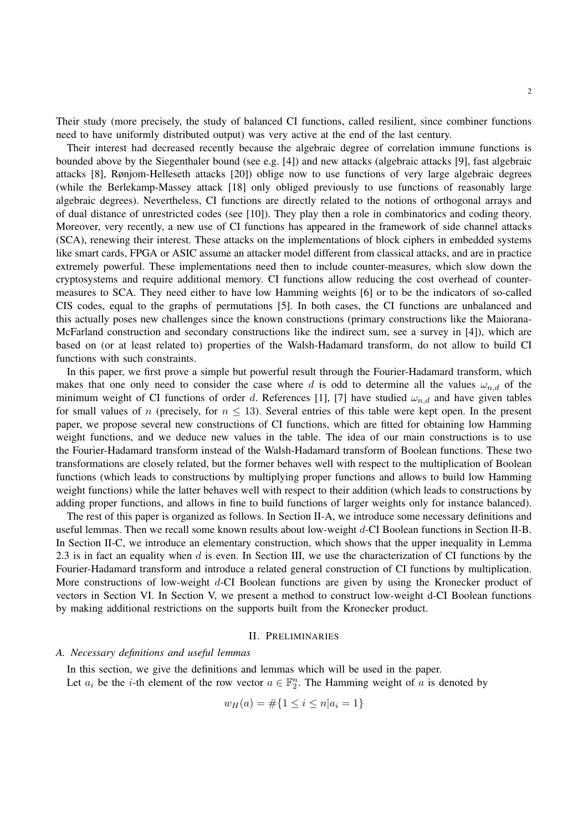Their study (more precisely, the study of balanced CI functions, called resilient, since combiner functions need to have uniformly distributed output) was very active at the end of the last century.

Their interest had decreased recently because the algebraic degree of correlation immune functions is bounded above by the Siegenthaler bound (see e.g. [4]) and new attacks (algebraic attacks [9], fast algebraic attacks [8], Rønjom-Helleseth attacks [20]) oblige now to use functions of very large algebraic degrees (while the Berlekamp-Massey attack [18] only obliged previously to use functions of reasonably large algebraic degrees). Nevertheless, CI functions are directly related to the notions of orthogonal arrays and of dual distance of unrestricted codes (see [10]). They play then a role in combinatorics and coding theory. Moreover, very recently, a new use of CI functions has appeared in the framework of side channel attacks (SCA), renewing their interest. These attacks on the implementations of block ciphers in embedded systems like smart cards, FPGA or ASIC assume an attacker model different from classical attacks, and are in practice extremely powerful. These implementations need then to include counter-measures, which slow down the cryptosystems and require additional memory. CI functions allow reducing the cost overhead of countermeasures to SCA. They need either to have low Hamming weights [6] or to be the indicators of so-called CIS codes, equal to the graphs of permutations [5]. In both cases, the CI functions are unbalanced and this actually poses new challenges since the known constructions (primary constructions like the Maiorana-McFarland construction and secondary constructions like the indirect sum, see a survey in [4]), which are based on (or at least related to) properties of the Walsh-Hadamard transform, do not allow to build CI functions with such constraints.

In this paper, we first prove a simple but powerful result through the Fourier-Hadamard transform, which makes that one only need to consider the case where d is odd to determine all the values  $\omega_{n,d}$  of the minimum weight of CI functions of order d. References [1], [7] have studied  $\omega_{n,d}$  and have given tables for small values of n (precisely, for  $n \leq 13$ ). Several entries of this table were kept open. In the present paper, we propose several new constructions of CI functions, which are fitted for obtaining low Hamming weight functions, and we deduce new values in the table. The idea of our main constructions is to use the Fourier-Hadamard transform instead of the Walsh-Hadamard transform of Boolean functions. These two transformations are closely related, but the former behaves well with respect to the multiplication of Boolean functions (which leads to constructions by multiplying proper functions and allows to build low Hamming weight functions) while the latter behaves well with respect to their addition (which leads to constructions by adding proper functions, and allows in fine to build functions of larger weights only for instance balanced).

The rest of this paper is organized as follows. In Section II-A, we introduce some necessary definitions and useful lemmas. Then we recall some known results about low-weight d-CI Boolean functions in Section II-B. In Section II-C, we introduce an elementary construction, which shows that the upper inequality in Lemma 2.3 is in fact an equality when d is even. In Section III, we use the characterization of CI functions by the Fourier-Hadamard transform and introduce a related general construction of CI functions by multiplication. More constructions of low-weight d-CI Boolean functions are given by using the Kronecker product of vectors in Section VI. In Section V, we present a method to construct low-weight d-CI Boolean functions by making additional restrictions on the supports built from the Kronecker product.

#### II. PRELIMINARIES

## *A. Necessary definitions and useful lemmas*

In this section, we give the definitions and lemmas which will be used in the paper. Let  $a_i$  be the *i*-th element of the row vector  $a \in \mathbb{F}_2^n$ . The Hamming weight of a is denoted by

$$
w_H(a) = \#\{1 \le i \le n | a_i = 1\}
$$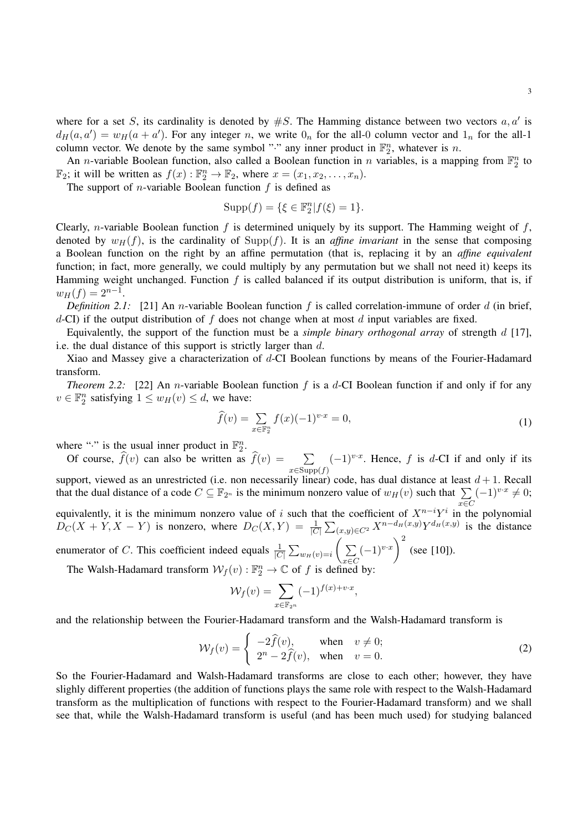An *n*-variable Boolean function, also called a Boolean function in *n* variables, is a mapping from  $\mathbb{F}_2^n$  to  $\mathbb{F}_2$ ; it will be written as  $f(x): \mathbb{F}_2^n \to \mathbb{F}_2$ , where  $x = (x_1, x_2, \dots, x_n)$ .

The support of *n*-variable Boolean function  $f$  is defined as

$$
Supp(f) = \{ \xi \in \mathbb{F}_2^n | f(\xi) = 1 \}.
$$

Clearly, *n*-variable Boolean function  $f$  is determined uniquely by its support. The Hamming weight of  $f$ , denoted by  $w_H(f)$ , is the cardinality of Supp(f). It is an *affine invariant* in the sense that composing a Boolean function on the right by an affine permutation (that is, replacing it by an *affine equivalent* function; in fact, more generally, we could multiply by any permutation but we shall not need it) keeps its Hamming weight unchanged. Function  $f$  is called balanced if its output distribution is uniform, that is, if  $w_H(f) = 2^{n-1}.$ 

*Definition 2.1:* [21] An *n*-variable Boolean function f is called correlation-immune of order d (in brief,  $d$ -CI) if the output distribution of  $f$  does not change when at most  $d$  input variables are fixed.

Equivalently, the support of the function must be a *simple binary orthogonal array* of strength d [17], i.e. the dual distance of this support is strictly larger than d.

Xiao and Massey give a characterization of d-CI Boolean functions by means of the Fourier-Hadamard transform.

*Theorem 2.2:* [22] An *n*-variable Boolean function f is a d-CI Boolean function if and only if for any  $v \in \mathbb{F}_2^n$  satisfying  $1 \leq w_H(v) \leq d$ , we have:

$$
\widehat{f}(v) = \sum_{x \in \mathbb{F}_2^n} f(x)(-1)^{v \cdot x} = 0,\tag{1}
$$

where "." is the usual inner product in  $\mathbb{F}_2^n$ . 2

Of course,  $f(v)$  can also be written as  $f(v) = \sum_{x \in \text{Supp}(f)}$  $(-1)^{v \cdot x}$ . Hence, f is d-CI if and only if its support, viewed as an unrestricted (i.e. non necessarily linear) code, has dual distance at least  $d + 1$ . Recall that the dual distance of a code  $C \subseteq \mathbb{F}_{2^n}$  is the minimum nonzero value of  $w_H(v)$  such that  $\sum$ x∈C  $(-1)^{v \cdot x} \neq 0;$ equivalently, it is the minimum nonzero value of i such that the coefficient of  $X^{n-i}Y^i$  in the polynomial  $D_C(X+Y,X-Y)$  is nonzero, where  $D_C(X,Y) = \frac{1}{|C|} \sum_{(x,y)\in C^2} X^{n-d_H(x,y)} Y^{d_H(x,y)}$  is the distance enumerator of C. This coefficient indeed equals  $\frac{1}{|C|} \sum_{w_H(v)=i}$   $\left( \sum_{v=1}^{\infty} \sum_{v=1}^{\infty} \sum_{v=1}^{\infty} \sum_{v=1}^{\infty} \sum_{v=1}^{\infty} \sum_{v=1}^{\infty} \sum_{v=1}^{\infty} \sum_{v=1}^{\infty} \sum_{v=1}^{\infty} \sum_{v=1}^{\infty} \sum_{v=1}^{\infty} \sum_{v=1}^{\infty} \sum_{v$  $(-1)^{v \cdot x}$ <sup>2</sup> (see [10]).

x∈C The Walsh-Hadamard transform  $\mathcal{W}_f(v)$ :  $\mathbb{F}_2^n \to \mathbb{C}$  of f is defined by:

$$
\mathcal{W}_f(v) = \sum_{x \in \mathbb{F}_{2^n}} (-1)^{f(x) + v \cdot x},
$$

and the relationship between the Fourier-Hadamard transform and the Walsh-Hadamard transform is

$$
\mathcal{W}_f(v) = \begin{cases}\n-2\widehat{f}(v), & \text{when } v \neq 0; \\
2^n - 2\widehat{f}(v), & \text{when } v = 0.\n\end{cases}
$$
\n(2)

So the Fourier-Hadamard and Walsh-Hadamard transforms are close to each other; however, they have slighly different properties (the addition of functions plays the same role with respect to the Walsh-Hadamard transform as the multiplication of functions with respect to the Fourier-Hadamard transform) and we shall see that, while the Walsh-Hadamard transform is useful (and has been much used) for studying balanced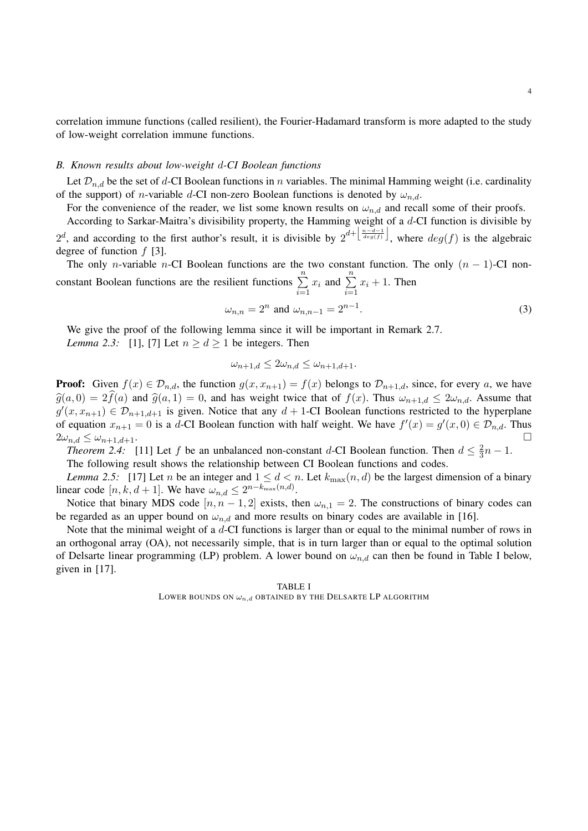correlation immune functions (called resilient), the Fourier-Hadamard transform is more adapted to the study of low-weight correlation immune functions.

#### *B. Known results about low-weight* d*-CI Boolean functions*

Let  $\mathcal{D}_{n,d}$  be the set of d-CI Boolean functions in n variables. The minimal Hamming weight (i.e. cardinality of the support) of *n*-variable d-CI non-zero Boolean functions is denoted by  $\omega_{n,d}$ .

For the convenience of the reader, we list some known results on  $\omega_{n,d}$  and recall some of their proofs.

According to Sarkar-Maitra's divisibility property, the Hamming weight of a d-CI function is divisible by  $2^d$ , and according to the first author's result, it is divisible by  $2^{d+\left[\frac{n-d-1}{deg(f)}\right]}$ , where  $deg(f)$  is the algebraic degree of function  $f$  [3].

The only n-variable n-CI Boolean functions are the two constant function. The only  $(n - 1)$ -CI nonconstant Boolean functions are the resilient functions  $\sum_{n=1}^{\infty}$  $i=1$  $x_i$  and  $\sum_{n=1}^{n}$  $i=1$  $x_i + 1$ . Then

$$
\omega_{n,n} = 2^n \text{ and } \omega_{n,n-1} = 2^{n-1}.
$$
 (3)

We give the proof of the following lemma since it will be important in Remark 2.7. *Lemma 2.3:* [1], [7] Let  $n > d > 1$  be integers. Then

$$
\omega_{n+1,d} \le 2\omega_{n,d} \le \omega_{n+1,d+1}.
$$

**Proof:** Given  $f(x) \in \mathcal{D}_{n,d}$ , the function  $g(x, x_{n+1}) = f(x)$  belongs to  $\mathcal{D}_{n+1,d}$ , since, for every a, we have  $\hat{g}(a, 0) = 2\hat{f}(a)$  and  $\hat{g}(a, 1) = 0$ , and has weight twice that of  $f(x)$ . Thus  $\omega_{n+1,d} \leq 2\omega_{n,d}$ . Assume that  $g'(x, x_{n+1}) \in \mathcal{D}_{n+1,d+1}$  is given. Notice that any  $d+1$ -CI Boolean functions restricted to the hyperplane of equation  $x_{n+1} = 0$  is a d-CI Boolean function with half weight. We have  $f'(x) = g'(x, 0) \in \mathcal{D}_{n,d}$ . Thus  $2\omega_{n,d} \leq \omega_{n+1,d+1}.$ 

*Theorem 2.4:* [11] Let f be an unbalanced non-constant d-CI Boolean function. Then  $d \leq \frac{2}{3}$  $rac{2}{3}n-1.$ 

The following result shows the relationship between CI Boolean functions and codes.

*Lemma 2.5:* [17] Let *n* be an integer and  $1 \leq d < n$ . Let  $k_{\text{max}}(n, d)$  be the largest dimension of a binary linear code [n, k, d + 1]. We have  $\omega_{n,d} \leq 2^{n-k_{\max}(n,d)}$ .

Notice that binary MDS code  $[n, n-1, 2]$  exists, then  $\omega_{n,1} = 2$ . The constructions of binary codes can be regarded as an upper bound on  $\omega_{n,d}$  and more results on binary codes are available in [16].

Note that the minimal weight of a d-CI functions is larger than or equal to the minimal number of rows in an orthogonal array (OA), not necessarily simple, that is in turn larger than or equal to the optimal solution of Delsarte linear programming (LP) problem. A lower bound on  $\omega_{n,d}$  can then be found in Table I below, given in [17].

## TABLE I LOWER BOUNDS ON  $\omega_{n,d}$  OBTAINED BY THE DELSARTE LP ALGORITHM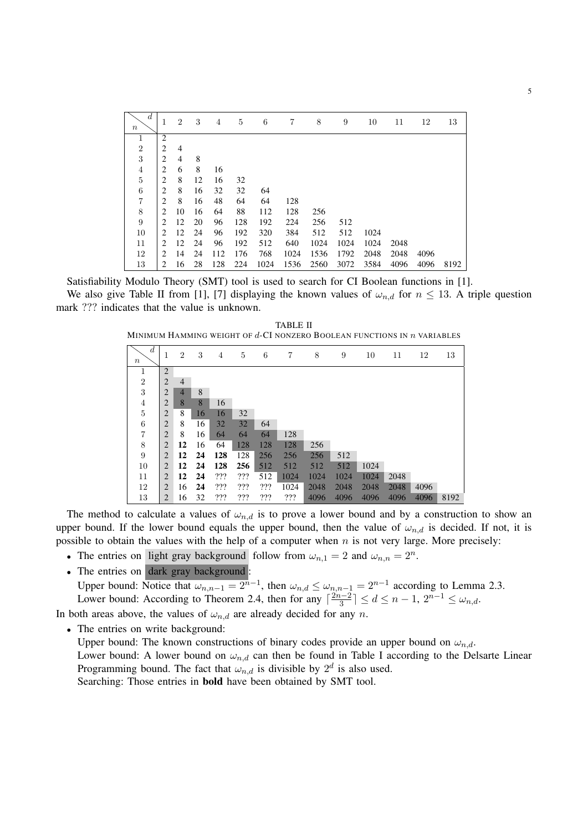| $\boldsymbol{d}$<br>$\boldsymbol{n}$ | 1                           | $\overline{2}$ | 3  | $\overline{4}$ | 5   | 6    | 7    | 8    | 9    | 10   | 11   | 12   | 13   |
|--------------------------------------|-----------------------------|----------------|----|----------------|-----|------|------|------|------|------|------|------|------|
| 1                                    | $\overline{c}$              |                |    |                |     |      |      |      |      |      |      |      |      |
| $\overline{2}$                       | $\overline{2}$              | $\overline{4}$ |    |                |     |      |      |      |      |      |      |      |      |
| 3                                    | $\overline{c}$              | $\overline{4}$ | 8  |                |     |      |      |      |      |      |      |      |      |
| $\overline{4}$                       | $\overline{c}$              | 6              | 8  | 16             |     |      |      |      |      |      |      |      |      |
| $\overline{5}$                       | $\overline{2}$              | 8              | 12 | 16             | 32  |      |      |      |      |      |      |      |      |
| $\,6$                                | $\overline{c}$              | 8              | 16 | 32             | 32  | 64   |      |      |      |      |      |      |      |
| $\overline{7}$                       | $\overline{2}$              | 8              | 16 | 48             | 64  | 64   | 128  |      |      |      |      |      |      |
| 8                                    | 2                           | 10             | 16 | 64             | 88  | 112  | 128  | 256  |      |      |      |      |      |
| $\boldsymbol{9}$                     | $\mathcal{D}_{\mathcal{L}}$ | 12             | 20 | 96             | 128 | 192  | 224  | 256  | 512  |      |      |      |      |
| 10                                   | $\mathcal{D}_{\mathcal{L}}$ | 12             | 24 | 96             | 192 | 320  | 384  | 512  | 512  | 1024 |      |      |      |
| 11                                   | $\mathcal{D}_{\mathcal{L}}$ | 12             | 24 | 96             | 192 | 512  | 640  | 1024 | 1024 | 1024 | 2048 |      |      |
| 12                                   | 2                           | 14             | 24 | 112            | 176 | 768  | 1024 | 1536 | 1792 | 2048 | 2048 | 4096 |      |
| 13                                   | 2                           | 16             | 28 | 128            | 224 | 1024 | 1536 | 2560 | 3072 | 3584 | 4096 | 4096 | 8192 |

Satisfiability Modulo Theory (SMT) tool is used to search for CI Boolean functions in [1].

We also give Table II from [1], [7] displaying the known values of  $\omega_{n,d}$  for  $n \leq 13$ . A triple question mark ??? indicates that the value is unknown.

TABLE II MINIMUM HAMMING WEIGHT OF  $d$ -CI NONZERO BOOLEAN FUNCTIONS IN  $n$  VARIABLES

| $\boldsymbol{n}$ | $\boldsymbol{d}$ | 1              | $\overline{2}$ | 3  | 4   | 5   | 6   | 7    | 8    | 9    | 10   | 11   | 12   | 13   |
|------------------|------------------|----------------|----------------|----|-----|-----|-----|------|------|------|------|------|------|------|
| 1                |                  | $\overline{2}$ |                |    |     |     |     |      |      |      |      |      |      |      |
| $\overline{2}$   |                  | 2              | $\overline{4}$ |    |     |     |     |      |      |      |      |      |      |      |
| 3                |                  | 2              | $\overline{4}$ | 8  |     |     |     |      |      |      |      |      |      |      |
| $\overline{4}$   |                  | 2              | 8              | 8  | 16  |     |     |      |      |      |      |      |      |      |
| $\bf 5$          |                  | 2              | 8              | 16 | 16  | 32  |     |      |      |      |      |      |      |      |
| 6                |                  | $\overline{2}$ | 8              | 16 | 32  | 32  | 64  |      |      |      |      |      |      |      |
| 7                |                  | $\overline{2}$ | 8              | 16 | 64  | 64  | 64  | 128  |      |      |      |      |      |      |
| 8                |                  | 2              | 12             | 16 | 64  | 128 | 128 | 128  | 256  |      |      |      |      |      |
| 9                |                  | $\overline{2}$ | 12             | 24 | 128 | 128 | 256 | 256  | 256  | 512  |      |      |      |      |
| 10               |                  | 2              | 12             | 24 | 128 | 256 | 512 | 512  | 512  | 512  | 1024 |      |      |      |
| 11               |                  | 2              | 12             | 24 | ??? | ??? | 512 | 1024 | 1024 | 1024 | 1024 | 2048 |      |      |
| 12               |                  | 2              | 16             | 24 | ??? | ??? | ??? | 1024 | 2048 | 2048 | 2048 | 2048 | 4096 |      |
| 13               |                  | 2              | 16             | 32 | ??? | ??? | ??? | ???  | 4096 | 4096 | 4096 | 4096 | 4096 | 8192 |

The method to calculate a values of  $\omega_{n,d}$  is to prove a lower bound and by a construction to show an upper bound. If the lower bound equals the upper bound, then the value of  $\omega_{n,d}$  is decided. If not, it is possible to obtain the values with the help of a computer when  $n$  is not very large. More precisely:

- The entries on light gray background follow from  $\omega_{n,1} = 2$  and  $\omega_{n,n} = 2^n$ .
- The entries on dark gray background :

Upper bound: Notice that  $\omega_{n,n-1} = 2^{n-1}$ , then  $\omega_{n,d} \leq \omega_{n,n-1} = 2^{n-1}$  according to Lemma 2.3. Lower bound: According to Theorem 2.4, then for any  $\lceil \frac{2n-2}{3} \rceil$  $\frac{a-2}{3}$ ]  $\leq d \leq n-1$ ,  $2^{n-1} \leq \omega_{n,d}$ .

In both areas above, the values of  $\omega_{n,d}$  are already decided for any n.

• The entries on write background:

Upper bound: The known constructions of binary codes provide an upper bound on  $\omega_{n,d}$ . Lower bound: A lower bound on  $\omega_{n,d}$  can then be found in Table I according to the Delsarte Linear Programming bound. The fact that  $\omega_{n,d}$  is divisible by  $2^d$  is also used. Searching: Those entries in bold have been obtained by SMT tool.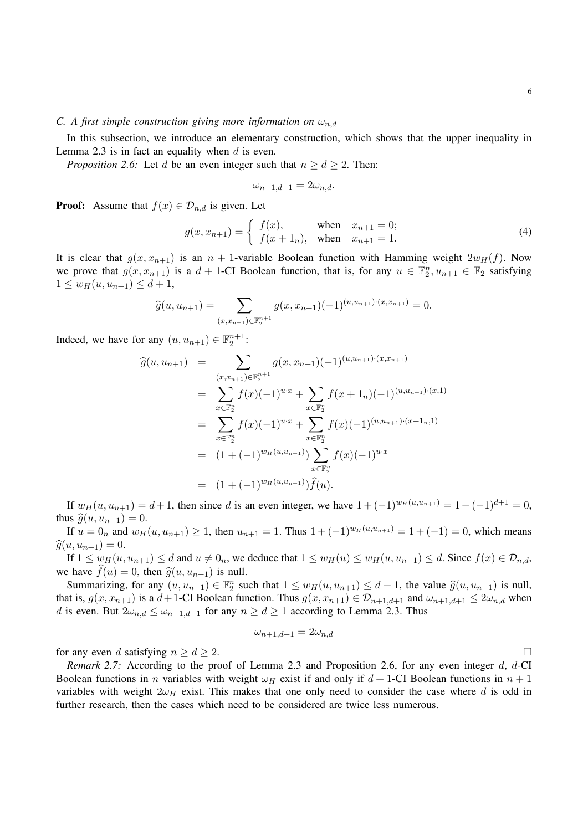# *C. A first simple construction giving more information on*  $\omega_{n,d}$

In this subsection, we introduce an elementary construction, which shows that the upper inequality in Lemma 2.3 is in fact an equality when  $d$  is even.

*Proposition 2.6:* Let d be an even integer such that  $n \ge d \ge 2$ . Then:

$$
\omega_{n+1,d+1} = 2\omega_{n,d}.
$$

**Proof:** Assume that  $f(x) \in \mathcal{D}_{n,d}$  is given. Let

$$
g(x, x_{n+1}) = \begin{cases} f(x), & \text{when } x_{n+1} = 0; \\ f(x+1_n), & \text{when } x_{n+1} = 1. \end{cases}
$$
 (4)

It is clear that  $g(x, x_{n+1})$  is an  $n + 1$ -variable Boolean function with Hamming weight  $2w_H(f)$ . Now we prove that  $g(x, x_{n+1})$  is a  $d+1$ -CI Boolean function, that is, for any  $u \in \mathbb{F}_2^n, u_{n+1} \in \mathbb{F}_2$  satisfying  $1 \leq w_H(u, u_{n+1}) \leq d+1,$ 

$$
\widehat{g}(u, u_{n+1}) = \sum_{(x, x_{n+1}) \in \mathbb{F}_2^{n+1}} g(x, x_{n+1}) (-1)^{(u, u_{n+1}) \cdot (x, x_{n+1})} = 0.
$$

Indeed, we have for any  $(u, u_{n+1}) \in \mathbb{F}_2^{n+1}$ :

$$
\begin{array}{rcl}\n\widehat{g}(u, u_{n+1}) & = & \sum_{(x, x_{n+1}) \in \mathbb{F}_2^{n+1}} g(x, x_{n+1}) (-1)^{(u, u_{n+1}) \cdot (x, x_{n+1})} \\
& = & \sum_{x \in \mathbb{F}_2^n} f(x) (-1)^{u \cdot x} + \sum_{x \in \mathbb{F}_2^n} f(x + 1_n) (-1)^{(u, u_{n+1}) \cdot (x, 1)} \\
& = & \sum_{x \in \mathbb{F}_2^n} f(x) (-1)^{u \cdot x} + \sum_{x \in \mathbb{F}_2^n} f(x) (-1)^{(u, u_{n+1}) \cdot (x + 1_n, 1)} \\
& = & (1 + (-1)^{w_H(u, u_{n+1})}) \sum_{x \in \mathbb{F}_2^n} f(x) (-1)^{u \cdot x} \\
& = & (1 + (-1)^{w_H(u, u_{n+1})}) \widehat{f}(u).\n\end{array}
$$

If  $w_H(u, u_{n+1}) = d+1$ , then since d is an even integer, we have  $1 + (-1)^{w_H(u, u_{n+1})} = 1 + (-1)^{d+1} = 0$ , thus  $\hat{g}(u, u_{n+1}) = 0$ .

If  $u = 0_n$  and  $w_H(u, u_{n+1}) \ge 1$ , then  $u_{n+1} = 1$ . Thus  $1 + (-1)^{w_H(u, u_{n+1})} = 1 + (-1) = 0$ , which means  $\widehat{g}(u, u_{n+1}) = 0.$ 

If  $1 \leq w_H(u, u_{n+1}) \leq d$  and  $u \neq 0_n$ , we deduce that  $1 \leq w_H(u) \leq w_H(u, u_{n+1}) \leq d$ . Since  $f(x) \in \mathcal{D}_{n,d}$ , we have  $f(u) = 0$ , then  $\hat{g}(u, u_{n+1})$  is null.

Summarizing, for any  $(u, u_{n+1}) \in \mathbb{F}_2^n$  such that  $1 \leq w_H(u, u_{n+1}) \leq d+1$ , the value  $\hat{g}(u, u_{n+1})$  is null, that is,  $g(x, x_{n+1})$  is a  $d+1$ -CI Boolean function. Thus  $g(x, x_{n+1}) \in \mathcal{D}_{n+1,d+1}$  and  $\omega_{n+1,d+1} \leq 2\omega_{n,d}$  when d is even. But  $2\omega_{n,d} \leq \omega_{n+1,d+1}$  for any  $n \geq d \geq 1$  according to Lemma 2.3. Thus

$$
\omega_{n+1,d+1} = 2\omega_{n,d}
$$

for any even d satisfying  $n \geq d \geq 2$ .

*Remark 2.7:* According to the proof of Lemma 2.3 and Proposition 2.6, for any even integer d, d-CI Boolean functions in n variables with weight  $\omega_H$  exist if and only if  $d + 1$ -CI Boolean functions in  $n + 1$ variables with weight  $2\omega_H$  exist. This makes that one only need to consider the case where d is odd in further research, then the cases which need to be considered are twice less numerous.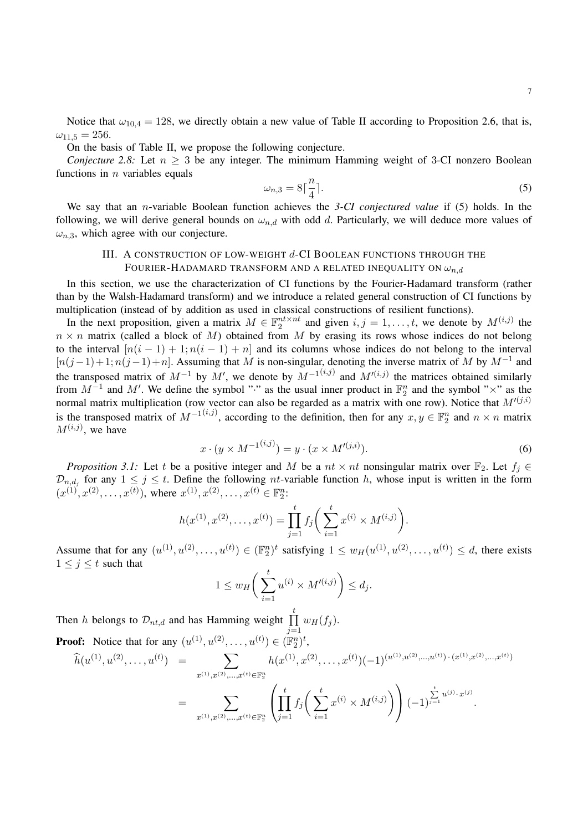Notice that  $\omega_{10,4} = 128$ , we directly obtain a new value of Table II according to Proposition 2.6, that is,  $\omega_{11.5} = 256.$ 

On the basis of Table II, we propose the following conjecture.

*Conjecture 2.8:* Let  $n \geq 3$  be any integer. The minimum Hamming weight of 3-CI nonzero Boolean functions in  $n$  variables equals

$$
\omega_{n,3} = 8\lceil \frac{n}{4} \rceil. \tag{5}
$$

We say that an n-variable Boolean function achieves the *3-CI conjectured value* if (5) holds. In the following, we will derive general bounds on  $\omega_{n,d}$  with odd d. Particularly, we will deduce more values of  $\omega_{n,3}$ , which agree with our conjecture.

# III. A CONSTRUCTION OF LOW-WEIGHT d-CI BOOLEAN FUNCTIONS THROUGH THE FOURIER-HADAMARD TRANSFORM AND A RELATED INEQUALITY ON  $\omega_{n,d}$

In this section, we use the characterization of CI functions by the Fourier-Hadamard transform (rather than by the Walsh-Hadamard transform) and we introduce a related general construction of CI functions by multiplication (instead of by addition as used in classical constructions of resilient functions).

In the next proposition, given a matrix  $M \in \mathbb{F}_2^{nt \times nt}$  and given  $i, j = 1, \ldots, t$ , we denote by  $M^{(i,j)}$  the  $n \times n$  matrix (called a block of M) obtained from M by erasing its rows whose indices do not belong to the interval  $[n(i-1)+1; n(i-1)+n]$  and its columns whose indices do not belong to the interval  $[n(j-1)+1; n(j-1)+n]$ . Assuming that M is non-singular, denoting the inverse matrix of M by  $M^{-1}$  and the transposed matrix of  $M^{-1}$  by  $M'$ , we denote by  $M^{-1(i,j)}$  and  $M'(i,j)$  the matrices obtained similarly from  $M^{-1}$  and M'. We define the symbol "·" as the usual inner product in  $\mathbb{F}_2^n$  and the symbol "×" as the normal matrix multiplication (row vector can also be regarded as a matrix with one row). Notice that  $M'(j,i)$ is the transposed matrix of  $M^{-1(i,j)}$ , according to the definition, then for any  $x, y \in \mathbb{F}_2^n$  and  $n \times n$  matrix  $M^{(i,j)}$ , we have

$$
x \cdot (y \times M^{-1(i,j)}) = y \cdot (x \times M'^{(j,i)}).
$$
 (6)

*Proposition 3.1:* Let t be a positive integer and M be a  $nt \times nt$  nonsingular matrix over  $\mathbb{F}_2$ . Let  $f_j \in$  $\mathcal{D}_{n,d_j}$  for any  $1 \leq j \leq t$ . Define the following *nt*-variable function h, whose input is written in the form  $(x^{(1)}, x^{(2)}, \ldots, x^{(t)})$ , where  $x^{(1)}, x^{(2)}, \ldots, x^{(t)} \in \mathbb{F}_2^n$ :

$$
h(x^{(1)}, x^{(2)}, \dots, x^{(t)}) = \prod_{j=1}^t f_j \bigg( \sum_{i=1}^t x^{(i)} \times M^{(i,j)} \bigg).
$$

Assume that for any  $(u^{(1)}, u^{(2)}, \ldots, u^{(t)}) \in (\mathbb{F}_2^n)^t$  satisfying  $1 \le w_H(u^{(1)}, u^{(2)}, \ldots, u^{(t)}) \le d$ , there exists  $1 \leq j \leq t$  such that

$$
1 \le w_H\bigg(\sum_{i=1}^t u^{(i)} \times M'^{(i,j)}\bigg) \le d_j.
$$

Then *h* belongs to  $\mathcal{D}_{nt,d}$  and has Hamming weight  $\prod_{i=1}^{t}$  $w_H(f_j)$ .

 $j=1$ **Proof:** Notice that for any  $(u^{(1)}, u^{(2)}, \dots, u^{(t)}) \in (\mathbb{F}_2^n)^t$ ,  $\widehat{h}(u^{(1)}, u^{(2)}, \ldots, u^{(t)}) = \sum$  $x^{(1)}, x^{(2)}, \ldots, x^{(t)} \in \mathbb{F}_2^n$  $h(x^{(1)}, x^{(2)}, \ldots, x^{(t)}) (-1)^{(u^{(1)}, u^{(2)}, \ldots, u^{(t)}) \cdot (x^{(1)}, x^{(2)}, \ldots, x^{(t)})}$  $=$   $\sum$  $x^{(1)}, x^{(2)}, \ldots, x^{(t)} \in \mathbb{F}_2^n$  $\sqrt{ }$  $\overline{1}$  $\Pi$ t  $j=1$  $f_j\Big(\sum^t$  $i=1$  $x^{(i)} \times M^{(i,j)}$  $(-1)$  $\sum_{j=1}^{t} u^{(j)} \cdot x^{(j)}$ .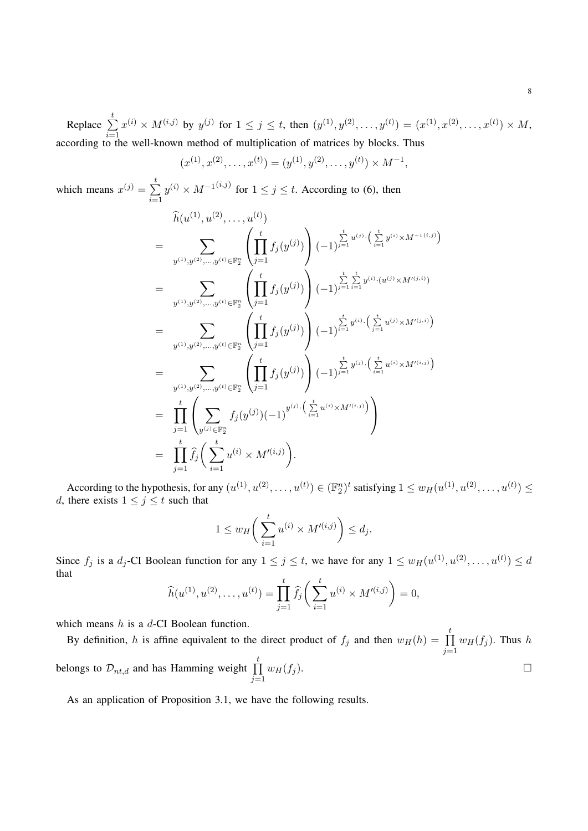Replace  $\sum^t$  $i=1$  $x^{(i)} \times M^{(i,j)}$  by  $y^{(j)}$  for  $1 \le j \le t$ , then  $(y^{(1)}, y^{(2)}, \ldots, y^{(t)}) = (x^{(1)}, x^{(2)}, \ldots, x^{(t)}) \times M$ , according to the well-known method of multiplication of matrices by blocks. Thus

$$
(x^{(1)}, x^{(2)}, \dots, x^{(t)}) = (y^{(1)}, y^{(2)}, \dots, y^{(t)}) \times M^{-1},
$$

which means  $x^{(j)} = \sum_{i=1}^{t} x^{(j)}$  $i=1$  $y^{(i)} \times M^{-1(i,j)}$  for  $1 \le j \le t$ . According to (6), then

$$
\hat{h}(u^{(1)}, u^{(2)}, \dots, u^{(t)})
$$
\n
$$
= \sum_{y^{(1)}, y^{(2)}, \dots, y^{(t)} \in \mathbb{F}_2^n} \left( \prod_{j=1}^t f_j(y^{(j)}) \right) (-1)^{\sum_{j=1}^t u^{(j)}} \cdot \left( \sum_{i=1}^t y^{(i)} \times M^{-1(i,j)} \right)
$$
\n
$$
= \sum_{y^{(1)}, y^{(2)}, \dots, y^{(t)} \in \mathbb{F}_2^n} \left( \prod_{j=1}^t f_j(y^{(j)}) \right) (-1)^{\sum_{j=1}^t \sum_{i=1}^t y^{(i)} \cdot (u^{(j)} \times M'^{(j,i)})}
$$
\n
$$
= \sum_{y^{(1)}, y^{(2)}, \dots, y^{(t)} \in \mathbb{F}_2^n} \left( \prod_{j=1}^t f_j(y^{(j)}) \right) (-1)^{\sum_{i=1}^t y^{(i)}} \cdot \left( \sum_{j=1}^t u^{(j)} \times M'^{(j,i)} \right)
$$
\n
$$
= \prod_{y^{(1)}, y^{(2)}, \dots, y^{(t)} \in \mathbb{F}_2^n} \left( \prod_{j=1}^t f_j(y^{(j)}) \right) (-1)^{\sum_{j=1}^t y^{(j)}} \cdot \left( \sum_{i=1}^t u^{(i)} \times M'^{(i,j)} \right)
$$
\n
$$
= \prod_{j=1}^t \left( \sum_{y^{(j)} \in \mathbb{F}_2^n} f_j(y^{(j)}) (-1)^{y^{(j)}} \cdot \left( \sum_{i=1}^t u^{(i)} \times M'^{(i,j)} \right) \right)
$$
\n
$$
= \prod_{j=1}^t \hat{f}_j \left( \sum_{i=1}^t u^{(i)} \times M'^{(i,j)} \right).
$$

According to the hypothesis, for any  $(u^{(1)}, u^{(2)}, \dots, u^{(t)}) \in (\mathbb{F}_2^n)^t$  satisfying  $1 \le w_H(u^{(1)}, u^{(2)}, \dots, u^{(t)}) \le$ d, there exists  $1 \leq j \leq t$  such that

$$
1 \le w_H\bigg(\sum_{i=1}^t u^{(i)} \times M'^{(i,j)}\bigg) \le d_j.
$$

Since  $f_j$  is a  $d_j$ -CI Boolean function for any  $1 \le j \le t$ , we have for any  $1 \le w_H(u^{(1)}, u^{(2)}, \ldots, u^{(t)}) \le d$ that  $\mathbf{t}$ 

$$
\widehat{h}(u^{(1)}, u^{(2)}, \dots, u^{(t)}) = \prod_{j=1}^t \widehat{f}_j\bigg(\sum_{i=1}^t u^{(i)} \times M'^{(i,j)}\bigg) = 0,
$$

which means h is a d-CI Boolean function.

By definition, h is affine equivalent to the direct product of  $f_j$  and then  $w_H(h) = \prod_{i=1}^{t}$  $j=1$  $w_H(f_j)$ . Thus h belongs to  $\mathcal{D}_{nt,d}$  and has Hamming weight  $\prod^t$  $j=1$  $w_H(f_j).$ 

As an application of Proposition 3.1, we have the following results.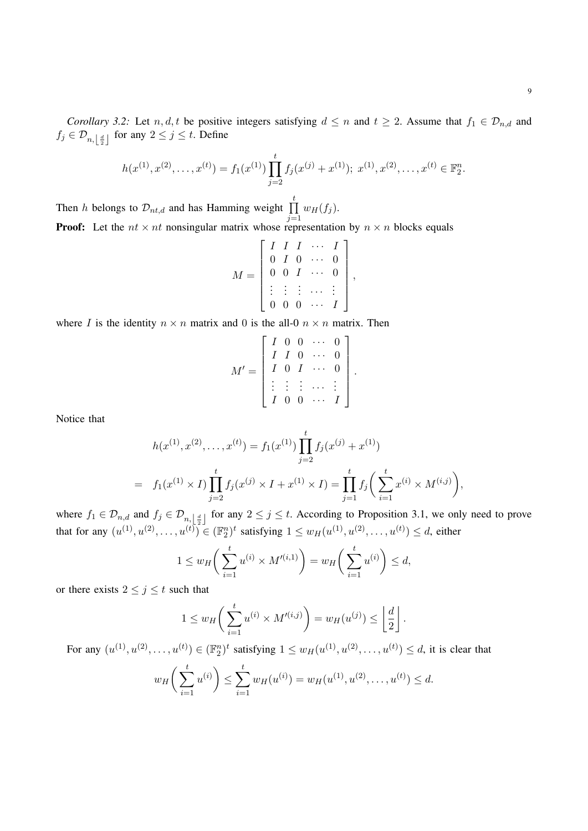$$
h(x^{(1)}, x^{(2)}, \dots, x^{(t)}) = f_1(x^{(1)}) \prod_{j=2}^t f_j(x^{(j)} + x^{(1)}); \ x^{(1)}, x^{(2)}, \dots, x^{(t)} \in \mathbb{F}_2^n.
$$

Then h belongs to  $\mathcal{D}_{nt,d}$  and has Hamming weight  $\prod_{i=1}^{t}$  $j=1$  $w_H(f_j)$ . **Proof:** Let the  $nt \times nt$  nonsingular matrix whose representation by  $n \times n$  blocks equals

$$
M = \left[ \begin{array}{cccc} I & I & I & \cdots & I \\ 0 & I & 0 & \cdots & 0 \\ 0 & 0 & I & \cdots & 0 \\ \vdots & \vdots & \vdots & \cdots & \vdots \\ 0 & 0 & 0 & \cdots & I \end{array} \right]
$$

,

where I is the identity  $n \times n$  matrix and 0 is the all-0  $n \times n$  matrix. Then

$$
M' = \begin{bmatrix} I & 0 & 0 & \cdots & 0 \\ I & I & 0 & \cdots & 0 \\ I & 0 & I & \cdots & 0 \\ \vdots & \vdots & \vdots & \cdots & \vdots \\ I & 0 & 0 & \cdots & I \end{bmatrix}.
$$

Notice that

$$
h(x^{(1)}, x^{(2)}, \dots, x^{(t)}) = f_1(x^{(1)}) \prod_{j=2}^t f_j(x^{(j)} + x^{(1)})
$$
  
=  $f_1(x^{(1)} \times I) \prod_{j=2}^t f_j(x^{(j)} \times I + x^{(1)} \times I) = \prod_{j=1}^t f_j \left( \sum_{i=1}^t x^{(i)} \times M^{(i,j)} \right),$ 

where  $f_1 \in \mathcal{D}_{n,d}$  and  $f_j \in \mathcal{D}_{n,\lfloor \frac{d}{2} \rfloor}$  for any  $2 \leq j \leq t$ . According to Proposition 3.1, we only need to prove that for any  $(u^{(1)}, u^{(2)}, \dots, u^{(t)}) \in (\mathbb{F}_2^n)^t$  satisfying  $1 \le w_H(u^{(1)}, u^{(2)}, \dots, u^{(t)}) \le d$ , either

$$
1 \le w_H\bigg(\sum_{i=1}^t u^{(i)} \times M'^{(i,1)}\bigg) = w_H\bigg(\sum_{i=1}^t u^{(i)}\bigg) \le d,
$$

or there exists  $2 \leq j \leq t$  such that

$$
1 \le w_H\bigg(\sum_{i=1}^t u^{(i)} \times M'^{(i,j)}\bigg) = w_H(u^{(j)}) \le \left\lfloor \frac{d}{2} \right\rfloor.
$$

For any  $(u^{(1)}, u^{(2)}, \dots, u^{(t)}) \in (\mathbb{F}_2^n)^t$  satisfying  $1 \le w_H(u^{(1)}, u^{(2)}, \dots, u^{(t)}) \le d$ , it is clear that

$$
w_H\bigg(\sum_{i=1}^t u^{(i)}\bigg) \le \sum_{i=1}^t w_H(u^{(i)}) = w_H(u^{(1)}, u^{(2)}, \dots, u^{(t)}) \le d.
$$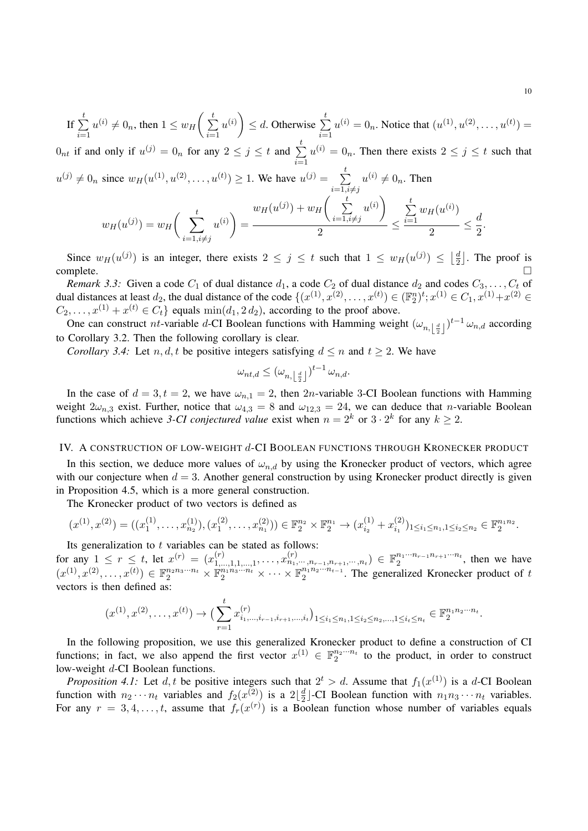$$
\text{If } \sum_{i=1}^t u^{(i)} \neq 0_n \text{, then } 1 \leq w_H\left(\sum_{i=1}^t u^{(i)}\right) \leq d. \text{ Otherwise } \sum_{i=1}^t u^{(i)} = 0_n. \text{ Notice that } (u^{(1)}, u^{(2)}, \dots, u^{(t)}) = 1.
$$

 $0_{nt}$  if and only if  $u^{(j)} = 0_n$  for any  $2 \le j \le t$  and  $\sum_{n=1}^{t}$  $i=1$  $u^{(i)} = 0_n$ . Then there exists  $2 \leq j \leq t$  such that  $u^{(j)} \neq 0_n$  since  $w_H(u^{(1)}, u^{(2)}, \dots, u^{(t)}) \geq 1$ . We have  $u^{(j)} = \sum_{i=1}^t$ 

 $i=1,i\neq j$  $u^{(i)} \neq 0_n$ . Then t  $w_H(u^{(j)}) + w_H \left( \quad \sum_{i=1}^t$  $u^{(i)}$  $\sum^t$  $w_H(u)$ 

$$
w_H(u^{(j)}) = w_H\left(\sum_{i=1, i\neq j}^{t} u^{(i)}\right) = \frac{w_H(u^{(j)}) + w_H\left(\sum_{i=1, i\neq j} u^{(i)}\right)}{2} \le \frac{\sum_{i=1}^{t} w_H(u^{(i)})}{2} \le \frac{d}{2}
$$

Since  $w_H(u^{(j)})$  is an integer, there exists  $2 \leq j \leq t$  such that  $1 \leq w_H(u^{(j)}) \leq \left\lfloor \frac{d}{2} \right\rfloor$  $\frac{d}{2}$ . The proof is  $\Box$ complete.

*Remark 3.3:* Given a code  $C_1$  of dual distance  $d_1$ , a code  $C_2$  of dual distance  $d_2$  and codes  $C_3, \ldots, C_t$  of dual distances at least  $d_2$ , the dual distance of the code  $\{(x^{(1)}, x^{(2)}, \dots, x^{(t)}) \in (\mathbb{F}_2^n)^t; x^{(1)} \in C_1, x^{(1)}+x^{(2)} \in C_2, x^{(2)}+x^{(3)} \}$  $C_2, \ldots, x^{(1)} + x^{(t)} \in C_t$  equals  $\min(d_1, 2d_2)$ , according to the proof above.

One can construct nt-variable d-CI Boolean functions with Hamming weight  $(\omega_{n,\lfloor \frac{d}{2} \rfloor})^{t-1} \omega_{n,d}$  according to Corollary 3.2. Then the following corollary is clear.

*Corollary 3.4:* Let n, d, t be positive integers satisfying  $d \le n$  and  $t \ge 2$ . We have

$$
\omega_{nt,d} \leq (\omega_{n,\left\lfloor\frac{d}{2}\right\rfloor})^{t-1} \, \omega_{n,d}.
$$

In the case of  $d = 3, t = 2$ , we have  $\omega_{n,1} = 2$ , then 2n-variable 3-CI Boolean functions with Hamming weight  $2\omega_{n,3}$  exist. Further, notice that  $\omega_{4,3} = 8$  and  $\omega_{12,3} = 24$ , we can deduce that *n*-variable Boolean functions which achieve 3-CI conjectured value exist when  $n = 2<sup>k</sup>$  or  $3 \cdot 2<sup>k</sup>$  for any  $k \ge 2$ .

# IV. A CONSTRUCTION OF LOW-WEIGHT d-CI BOOLEAN FUNCTIONS THROUGH KRONECKER PRODUCT

In this section, we deduce more values of  $\omega_{n,d}$  by using the Kronecker product of vectors, which agree with our conjecture when  $d = 3$ . Another general construction by using Kronecker product directly is given in Proposition 4.5, which is a more general construction.

The Kronecker product of two vectors is defined as

$$
(x^{(1)}, x^{(2)}) = ((x_1^{(1)}, \ldots, x_{n_2}^{(1)}), (x_1^{(2)}, \ldots, x_{n_1}^{(2)})) \in \mathbb{F}_2^{n_2} \times \mathbb{F}_2^{n_1} \to (x_{i_2}^{(1)} + x_{i_1}^{(2)})_{1 \leq i_1 \leq n_1, 1 \leq i_2 \leq n_2} \in \mathbb{F}_2^{n_1 n_2}.
$$

Its generalization to  $t$  variables can be stated as follows:

for any  $1 \leq r \leq t$ , let  $x^{(r)} = (x_1^{(r)})$  $\mathcal{X}_{1,...,1,1,...,1}^{(r)},\ldots,x_{n_{1},\cdots,n_{r-1},n_{r+1},\cdots,n_{t}}^{(r)}\}\in\mathbb{F}_{2}^{n_{1}\cdots n_{r-1}n_{r+1}\cdots n_{t}}$  $\frac{n_1 \cdots n_{r-1} n_{r+1} \cdots n_t}{2}$ , then we have  $(x^{(1)}, x^{(2)}, \ldots, x^{(t)}) \in \mathbb{F}_2^{n_2 n_3 \cdots n_t} \times \mathbb{F}_2^{n_1 n_3 \cdots n_t} \times \cdots \times \mathbb{F}_2^{n_1 n_2 \cdots n_{t-1}}$  $n_1 n_2 \cdots n_{t-1}$ . The generalized Kronecker product of t vectors is then defined as:

$$
(x^{(1)}, x^{(2)}, \ldots, x^{(t)}) \rightarrow \left(\sum_{r=1}^t x^{(r)}_{i_1, \ldots, i_{r-1}, i_{r+1}, \ldots, i_t}\right)_{1 \leq i_1 \leq n_1, 1 \leq i_2 \leq n_2, \ldots, 1 \leq i_t \leq n_t} \in \mathbb{F}_2^{n_1 n_2 \cdots n_t}.
$$

In the following proposition, we use this generalized Kronecker product to define a construction of CI functions; in fact, we also append the first vector  $x^{(1)} \in \mathbb{F}_2^{n_2 \cdots n_t}$  to the product, in order to construct low-weight d-CI Boolean functions.

*Proposition 4.1:* Let d, t be positive integers such that  $2^t > d$ . Assume that  $f_1(x^{(1)})$  is a d-CI Boolean function with  $n_2 \cdots n_t$  variables and  $f_2(x^{(2)})$  is a  $2\lfloor \frac{d}{2} \rfloor$  $\frac{d}{2}$ -CI Boolean function with  $n_1 n_3 \cdots n_t$  variables. For any  $r = 3, 4, \ldots, t$ , assume that  $f_r(x^{(r)})$  is a Boolean function whose number of variables equals

.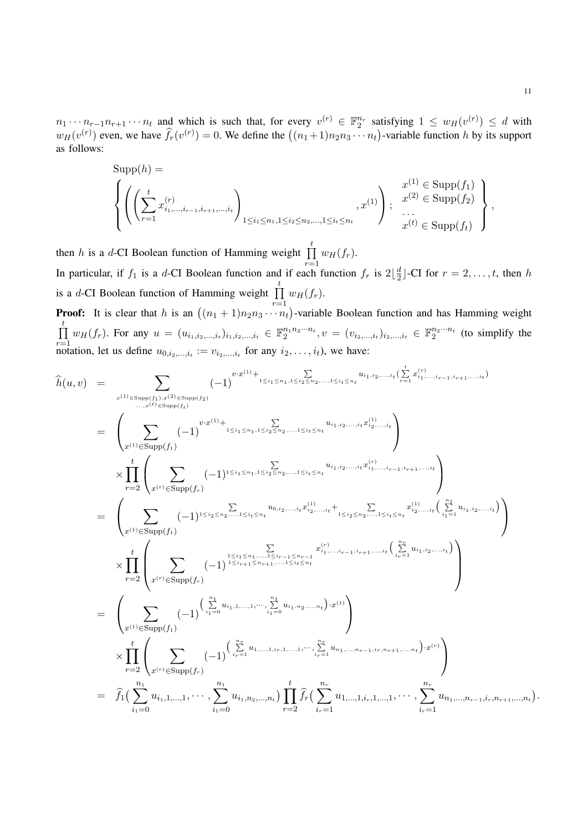$n_1 \cdots n_{r-1} n_{r+1} \cdots n_t$  and which is such that, for every  $v^{(r)} \in \mathbb{F}_2^{n_r}$  satisfying  $1 \leq w_H(v^{(r)}) \leq d$  with  $w_H(v^{(r)})$  even, we have  $\hat{f}_r(v^{(r)}) = 0$ . We define the  $((n_1+1)n_2n_3\cdots n_t)$ -variable function h by its support as follows:

$$
\mathsf{Supp}(h) = \left\{ \left( \left( \sum_{r=1}^{t} x_{i_1, \dots, i_{r-1}, i_{r+1}, \dots, i_t}^{(r)} \right)_{1 \le i_1 \le n_1, 1 \le i_2 \le n_2, \dots, 1 \le i_t \le n_t}, x^{(1)} \right) ; \begin{array}{c} x^{(1)} \in \text{Supp}(f_1) \\ \dots \\ x^{(t)} \in \text{Supp}(f_t) \end{array} \right\},
$$

then h is a d-CI Boolean function of Hamming weight  $\prod_{i=1}^{t}$  $r=1$  $w_H(f_r)$ . In particular, if  $f_1$  is a d-CI Boolean function and if each function  $f_r$  is  $2\lfloor\frac{d}{2}\rfloor$  $\frac{d}{2}$ ]-CI for  $r = 2, \ldots, t$ , then h is a d-CI Boolean function of Hamming weight  $\prod_{i=1}^{t}$  $r=1$  $w_H(f_r)$ .

**Proof:** It is clear that h is an  $((n_1 + 1)n_2 n_3 \cdots n_t)$ -variable Boolean function and has Hamming weight  $\prod^t$  $\prod_{r=1}^{r} w_H(f_r)$ . For any  $u = (u_{i_1,i_2,...,i_t})_{i_1,i_2,...,i_t} \in \mathbb{F}_2^{n_1 n_2 \cdots n_t}, v = (v_{i_2,...,i_t})_{i_2,...,i_t} \in \mathbb{F}_2^{n_2 \cdots n_t}$  (to simplify the notation, let us define  $u_{0,i_2,...,i_t} := v_{i_2,...,i_t}$  for any  $i_2,...,i_t$ ), we have:

$$
\hat{h}(u, v) = \sum_{x^{(1)} \in \text{Supp}(f_1), x^{(2)} \in \text{Supp}(f_2)} (-1)^{v \cdot x^{(1)} + 1 \leq i_1 \leq n_1, 1 \leq i_2 \leq n_2, ..., 1 \leq i_\ell \leq n_l} u_{i_1, i_2, ..., i_\ell} \sum_{i_r=1}^{t} u_{i_1, ..., i_{r-1}, i_{r+1}, ..., i_\ell}
$$
\n
$$
= \left(\sum_{x^{(1)} \in \text{Supp}(f_1)} (-1)^{v \cdot x^{(1)} + 1 \leq i_1 \leq n_1, 1 \leq i_2 \leq n_2, ..., 1 \leq i_\ell \leq n_l} u_{i_1, i_2, ..., i_\ell} v_{i_2, ..., i_\ell}^{(1)}\right) \times \prod_{r=2}^{t} \left(\sum_{x^{(r)} \in \text{Supp}(f_r)} (-1)^{1 \leq i_1 \leq n_1, 1 \leq i_2 \leq n_2, ..., 1 \leq i_\ell \leq n_l} u_{i_1, i_2, ..., i_\ell} v_{i_2, ..., i_\ell}^{(1)} u_{i_1, ..., i_{r-1}, i_{r+1}, ..., i_\ell}\right) \times \prod_{r=2}^{t} \left(\sum_{x^{(r)} \in \text{Supp}(f_r)} (-1)^{1 \leq i_1 \leq n_1, \dots, \sum_{i_r=1}^{r} c_{i_r} u_{i_r, i_2, ..., i_\ell} v_{i_2, ..., i_\ell}^{(1)} + \sum_{i_r=1}^{r} c_{i_r} u_{i_r, ..., i_r} v_{i_r, ..., i_\ell}^{(1)} v_{i_r, ..., i_\ell}^{(1)} v_{i_r, ..., i_\ell}\right)
$$
\n
$$
\times \prod_{r=2}^{t} \left(\sum_{x^{(r)} \in \text{Supp}(f_r)} (-1)^{1 \leq i_{r+1} \leq n_{r+1}, ..., i_\ell} v_{i_r, n_l}^{(1)} \cdot u_{i_r, ..., i_\ell} v_{i_r, n_l}^{(1)} + \sum_{i_r=1}^{r} u_{i_1, i_2, ..., i_\ell} v_{i_r, ..., i_\ell}\right)
$$
\n
$$
= \hat{f}_1(\sum_{i_1=0}^{n_1} u_{i_1,
$$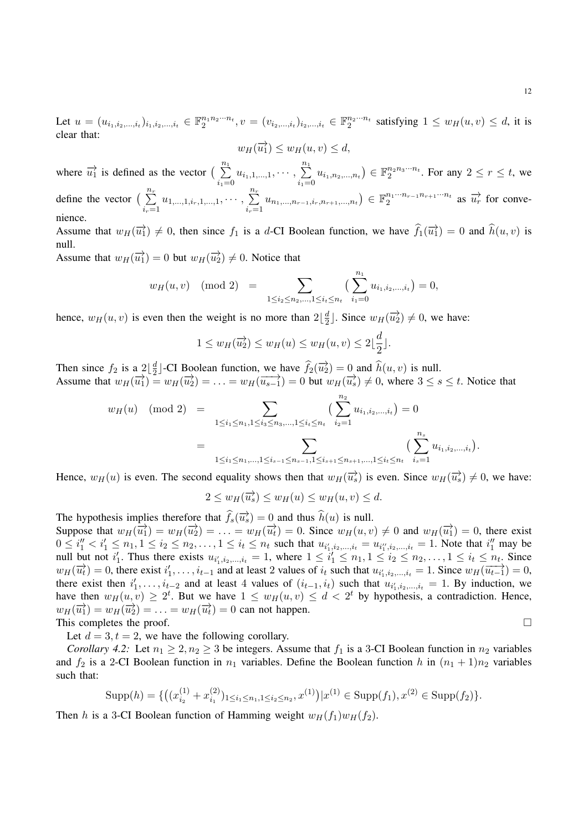12

Let  $u = (u_{i_1,i_2,...,i_t})_{i_1,i_2,...,i_t} \in \mathbb{F}_2^{n_1 n_2 \cdots n_t}, v = (v_{i_2,...,i_t})_{i_2,...,i_t} \in \mathbb{F}_2^{n_2 \cdots n_t}$  satisfying  $1 \le w_H(u,v) \le d$ , it is clear that:

$$
w_H(\overrightarrow{u_1}) \le w_H(u,v) \le d,
$$

where  $\overrightarrow{u_1}$  is defined as the vector  $\left(\begin{array}{c}n_1\\n_1\end{array}\right)$  $i_1=0$  $u_{i_1,1,...,1}, \cdots, \sum^{n_1}$  $i_1=0$  $u_{i_1,n_2,...,n_t}$ )  $\in \mathbb{F}_2^{n_2 n_3 \cdots n_t}$ . For any  $2 \le r \le t$ , we define the vector  $\left(\begin{array}{c} n_r \\ \sum \end{array}\right)$  $i_r=1$  $u_{1,...,1,i_r,1,...,1}, \cdots, \sum^{n_r}$  $i_r=1$  $u_{n_1,...,n_{r-1},i_r,n_{r+1},...,n_t}$ )  $\in \mathbb{F}_2^{n_1...n_{r-1}n_{r+1}...n_t}$  $\frac{n_1 \cdots n_{r-1} n_{r+1} \cdots n_t}{2}$  as  $\overrightarrow{u_r}$  for convenience.

Assume that  $w_H(\overrightarrow{u_1}) \neq 0$ , then since  $f_1$  is a d-CI Boolean function, we have  $\hat{f}_1(\overrightarrow{u_1}) = 0$  and  $\hat{h}(u, v)$  is null. Assume that  $w_H(\overrightarrow{u_1}) = 0$  but  $w_H(\overrightarrow{u_2}) \neq 0$ . Notice that

> $w_H(u, v) \pmod{2} = \sum$  $1 \leq i_2 \leq n_2, \ldots, 1 \leq i_t \leq n_t$  $\left(\right)^{n_1}$  $i_1=0$  $u_{i_1,i_2,...,i_t} = 0,$

hence,  $w_H(u, v)$  is even then the weight is no more than  $2\left\lfloor\frac{d}{2}\right\rfloor$  $\frac{d}{2}$ . Since  $w_H(\overrightarrow{u_2}) \neq 0$ , we have:

$$
1 \le w_H(\overrightarrow{u_2}) \le w_H(u) \le w_H(u,v) \le 2\lfloor \frac{d}{2} \rfloor.
$$

Then since  $f_2$  is a  $2\left\lfloor \frac{d}{2} \right\rfloor$  $\frac{d}{2}$  -CI Boolean function, we have  $\hat{f}_2(\vec{u}_2) = 0$  and  $\hat{h}(u, v)$  is null. Assume that  $w_H(\overline{u}_1) = w_H(\overline{u}_2) = \ldots = w_H(\overline{u}_{s-1}) = 0$  but  $w_H(\overline{u}_s) \neq 0$ , where  $3 \leq s \leq t$ . Notice that

$$
w_H(u) \pmod{2} = \sum_{1 \le i_1 \le n_1, 1 \le i_3 \le n_3, \dots, 1 \le i_t \le n_t} \left( \sum_{i_2=1}^{n_2} u_{i_1, i_2, \dots, i_t} \right) = 0
$$
  
= 
$$
\sum_{1 \le i_1 \le n_1, \dots, 1 \le i_{s-1} \le n_{s-1}, 1 \le i_{s+1} \le n_{s+1}, \dots, 1 \le i_t \le n_t} \left( \sum_{i_s=1}^{n_s} u_{i_1, i_2, \dots, i_t} \right).
$$

Hence,  $w_H(u)$  is even. The second equality shows then that  $w_H(\overrightarrow{u_s})$  is even. Since  $w_H(\overrightarrow{u_s}) \neq 0$ , we have:

$$
2 \le w_H(\overrightarrow{u_s}) \le w_H(u) \le w_H(u, v) \le d.
$$

The hypothesis implies therefore that  $\hat{f}_s(\vec{u}_s) = 0$  and thus  $\hat{h}(u)$  is null.

Suppose that  $w_H(\overrightarrow{u_1}) = w_H(\overrightarrow{u_2}) = \ldots = w_H(\overrightarrow{u_t}) = 0$ . Since  $w_H(u, v) \neq 0$  and  $w_H(\overrightarrow{u_1}) = 0$ , there exist  $0 \le i''_1 < i'_1 \le n_1, 1 \le i_2 \le n_2, \ldots, 1 \le i_t \le n_t$  such that  $u_{i'_1,i_2,\ldots,i_t} = u_{i''_1,i_2,\ldots,i_t} = 1$ . Note that  $i''_1$  may be null but not  $i'_1$ . Thus there exists  $u_{i'_1,i_2,...,i_t} = 1$ , where  $1 \leq i'_1 \leq n_1, 1 \leq i_2 \leq n_2,..., 1 \leq i_t \leq n_t$ . Since  $w_H(\vec{u}_t) = 0$ , there exist  $i'_1, \ldots, i_{t-1}$  and at least 2 values of  $i_t$  such that  $u_{i'_1, i_2, \ldots, i_t} = 1$ . Since  $w_H(\overline{u_{t-1}}) = 0$ , there exist then  $i'_1, \ldots, i_{t-2}$  and at least 4 values of  $(i_{t-1}, i_t)$  such that  $u_{i'_1, i_2, \ldots, i_t} = 1$ . By induction, we have then  $w_H(u, v) \geq 2^t$ . But we have  $1 \leq w_H(u, v) \leq d < 2^t$  by hypothesis, a contradiction. Hence,  $w_H(\overrightarrow{u_1}) = w_H(\overrightarrow{u_2}) = \ldots = w_H(\overrightarrow{u_t}) = 0$  can not happen. This completes the proof.  $\Box$ 

Let  $d = 3, t = 2$ , we have the following corollary.

*Corollary 4.2:* Let  $n_1 \geq 2, n_2 \geq 3$  be integers. Assume that  $f_1$  is a 3-CI Boolean function in  $n_2$  variables and  $f_2$  is a 2-CI Boolean function in  $n_1$  variables. Define the Boolean function h in  $(n_1 + 1)n_2$  variables such that:

Supp(h) = {
$$
((x_{i_2}^{(1)} + x_{i_1}^{(2)})_{1 \le i_1 \le n_1, 1 \le i_2 \le n_2, x^{(1)}) | x^{(1)} \in \text{Supp}(f_1), x^{(2)} \in \text{Supp}(f_2)
$$
 }.

Then h is a 3-CI Boolean function of Hamming weight  $w_H(f_1)w_H(f_2)$ .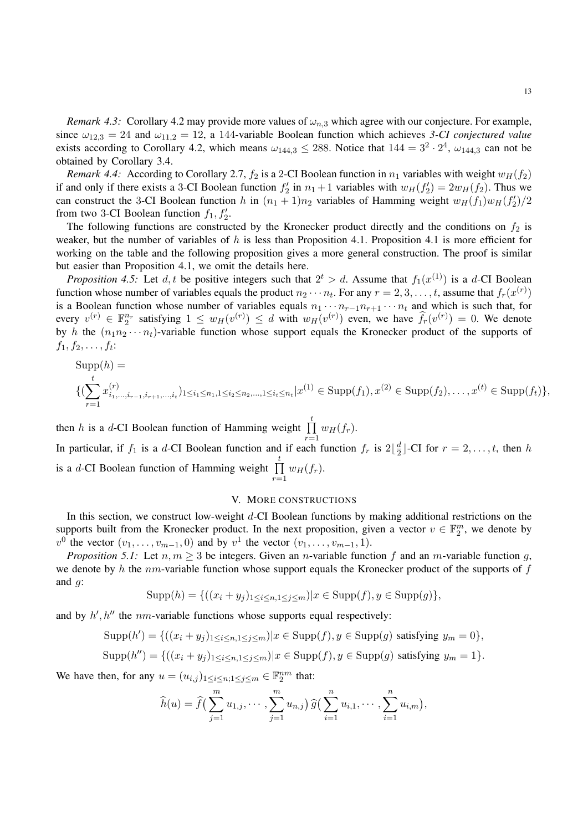*Remark 4.3:* Corollary 4.2 may provide more values of  $\omega_{n,3}$  which agree with our conjecture. For example, since  $\omega_{12,3} = 24$  and  $\omega_{11,2} = 12$ , a 144-variable Boolean function which achieves 3-CI conjectured value exists according to Corollary 4.2, which means  $\omega_{144,3} \le 288$ . Notice that  $144 = 3^2 \cdot 2^4$ ,  $\omega_{144,3}$  can not be obtained by Corollary 3.4.

*Remark 4.4:* According to Corollary 2.7,  $f_2$  is a 2-CI Boolean function in  $n_1$  variables with weight  $w_H(f_2)$ if and only if there exists a 3-CI Boolean function  $f'_2$  in  $n_1 + 1$  variables with  $w_H(f'_2) = 2w_H(f_2)$ . Thus we can construct the 3-CI Boolean function h in  $(n_1 + 1)n_2$  variables of Hamming weight  $w_H(f_1)w_H(f_2)/2$ from two 3-CI Boolean function  $f_1, f_2'$ .

The following functions are constructed by the Kronecker product directly and the conditions on  $f_2$  is weaker, but the number of variables of h is less than Proposition 4.1. Proposition 4.1 is more efficient for working on the table and the following proposition gives a more general construction. The proof is similar but easier than Proposition 4.1, we omit the details here.

*Proposition 4.5:* Let d, t be positive integers such that  $2^t > d$ . Assume that  $f_1(x^{(1)})$  is a d-CI Boolean function whose number of variables equals the product  $n_2 \cdots n_t$ . For any  $r = 2, 3, \ldots, t$ , assume that  $f_r(x^{(r)})$ is a Boolean function whose number of variables equals  $n_1 \cdots n_{r-1} n_{r+1} \cdots n_t$  and which is such that, for every  $v^{(r)} \in \mathbb{F}_2^{n_r}$  satisfying  $1 \leq w_H(v^{(r)}) \leq d$  with  $w_H(v^{(r)})$  even, we have  $\hat{f}_r(v^{(r)}) = 0$ . We denote by h the  $(n_1n_2 \cdots n_t)$ -variable function whose support equals the Kronecker product of the supports of  $f_1, f_2, \ldots, f_t$ :

Supp(h) =  
\n
$$
\{(\sum_{r=1}^{t} x_{i_1,\dots,i_{r-1},i_{r+1},\dots,i_t}^{(r)})_{1\leq i_1\leq n_1,1\leq i_2\leq n_2,\dots,1\leq i_t\leq n_t}|x^{(1)} \in \text{Supp}(f_1), x^{(2)} \in \text{Supp}(f_2),\dots,x^{(t)} \in \text{Supp}(f_t)\},
$$

then h is a d-CI Boolean function of Hamming weight  $\prod_{i=1}^{t}$  $r=1$  $w_H(f_r)$ . In particular, if  $f_1$  is a d-CI Boolean function and if each function  $f_r$  is  $2\lfloor\frac{d}{2}\rfloor$  $\frac{d}{2}$ ]-CI for  $r = 2, \ldots, t$ , then h is a d-CI Boolean function of Hamming weight  $\prod_{i=1}^{t}$  $r=1$  $w_H(f_r)$ .

## V. MORE CONSTRUCTIONS

In this section, we construct low-weight d-CI Boolean functions by making additional restrictions on the supports built from the Kronecker product. In the next proposition, given a vector  $v \in \mathbb{F}_2^m$ , we denote by  $v^0$  the vector  $(v_1, \ldots, v_{m-1}, 0)$  and by  $v^1$  the vector  $(v_1, \ldots, v_{m-1}, 1)$ .

*Proposition 5.1:* Let  $n, m \geq 3$  be integers. Given an *n*-variable function f and an *m*-variable function g, we denote by h the nm-variable function whose support equals the Kronecker product of the supports of  $f$ and  $q$ :

$$
Supp(h) = \{ ((x_i + y_j)_{1 \le i \le n, 1 \le j \le m}) | x \in Supp(f), y \in Supp(g) \},
$$

and by  $h', h''$  the nm-variable functions whose supports equal respectively:

$$
Supp(h') = \{((x_i + y_j)_{1 \leq i \leq n, 1 \leq j \leq m}) | x \in Supp(f), y \in Supp(g) \text{ satisfying } y_m = 0 \},
$$

$$
Supp(h'') = \{((x_i + y_j)_{1 \leq i \leq n, 1 \leq j \leq m}) | x \in Supp(f), y \in Supp(g) \text{ satisfying } y_m = 1 \}.
$$

We have then, for any  $u = (u_{i,j})_{1 \leq i \leq n; 1 \leq j \leq m} \in \mathbb{F}_2^{nm}$  that:

$$
\widehat{h}(u) = \widehat{f}\left(\sum_{j=1}^m u_{1,j}, \cdots, \sum_{j=1}^m u_{n,j}\right) \widehat{g}\left(\sum_{i=1}^n u_{i,1}, \cdots, \sum_{i=1}^n u_{i,m}\right),
$$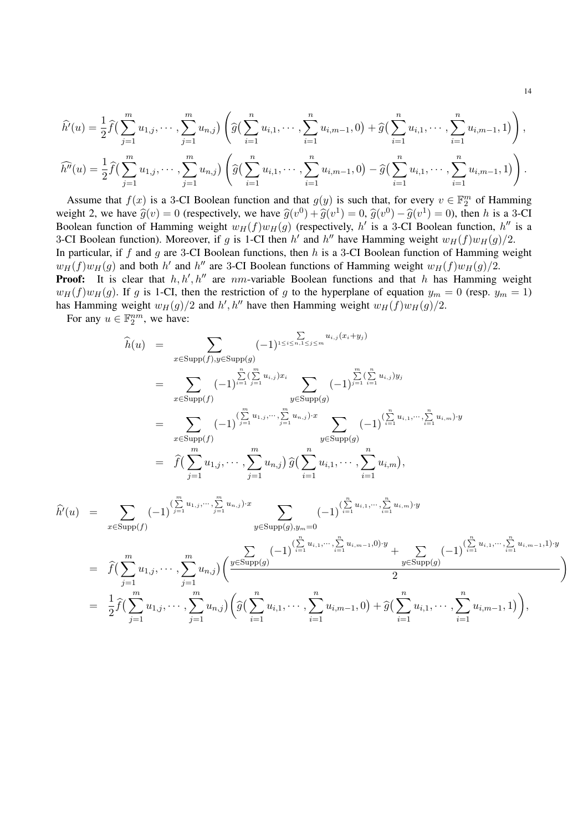$$
\widehat{h'}(u) = \frac{1}{2}\widehat{f}\left(\sum_{j=1}^m u_{1,j}, \cdots, \sum_{j=1}^m u_{n,j}\right) \left(\widehat{g}\left(\sum_{i=1}^n u_{i,1}, \cdots, \sum_{i=1}^n u_{i,m-1}, 0\right) + \widehat{g}\left(\sum_{i=1}^n u_{i,1}, \cdots, \sum_{i=1}^n u_{i,m-1}, 1\right)\right),
$$
  

$$
\widehat{h''}(u) = \frac{1}{2}\widehat{f}\left(\sum_{j=1}^m u_{1,j}, \cdots, \sum_{j=1}^m u_{n,j}\right) \left(\widehat{g}\left(\sum_{i=1}^n u_{i,1}, \cdots, \sum_{i=1}^n u_{i,m-1}, 0\right) - \widehat{g}\left(\sum_{i=1}^n u_{i,1}, \cdots, \sum_{i=1}^n u_{i,m-1}, 1\right)\right).
$$

Assume that  $f(x)$  is a 3-CI Boolean function and that  $g(y)$  is such that, for every  $v \in \mathbb{F}_2^m$  of Hamming weight 2, we have  $\hat{g}(v) = 0$  (respectively, we have  $\hat{g}(v^0) + \hat{g}(v^1) = 0$ ,  $\hat{g}(v^0) - \hat{g}(v^1) = 0$ ), then h is a 3-CI<br>Boolean function of Hamming weight  $g(x)$  (respectively b) is a 3-CI Boolean function b" is a Boolean function of Hamming weight  $w_H(f)w_H(g)$  (respectively, h' is a 3-CI Boolean function, h'' is a 3-CI Boolean function). Moreover, if g is 1-CI then h' and h'' have Hamming weight  $w_H(f)w_H(g)/2$ . In particular, if  $f$  and  $g$  are 3-CI Boolean functions, then  $h$  is a 3-CI Boolean function of Hamming weight  $w_H(f)w_H(g)$  and both h' and h'' are 3-CI Boolean functions of Hamming weight  $w_H(f)w_H(g)/2$ . **Proof:** It is clear that  $h, h', h''$  are nm-variable Boolean functions and that h has Hamming weight  $w_H(f)w_H(g)$ . If g is 1-CI, then the restriction of g to the hyperplane of equation  $y_m = 0$  (resp.  $y_m = 1$ ) has Hamming weight  $w_H(g)/2$  and  $h', h''$  have then Hamming weight  $w_H(f)w_H(g)/2$ .

For any  $u \in \mathbb{F}_2^{nm}$ , we have:

$$
\hat{h}(u) = \sum_{x \in \text{Supp}(f), y \in \text{Supp}(g)} (-1)^{\sum_{i=1}^{n} \sum_{j=1}^{n} u_{i,j} x_{i}} \sum_{y \in \text{Supp}(g)} (-1)^{\sum_{j=1}^{n} \sum_{i=1}^{n} u_{i,j} y_{j}}
$$
\n
$$
= \sum_{x \in \text{Supp}(f)} (-1)^{\sum_{j=1}^{n} \sum_{j=1}^{n} u_{i,j} \dots \sum_{j=1}^{n} u_{n,j} y_{i}}
$$
\n
$$
= \sum_{x \in \text{Supp}(f)} (-1)^{\sum_{j=1}^{n} u_{1,j}, \dots, \sum_{j=1}^{n} u_{n,j}} \sum_{y \in \text{Supp}(g)} (-1)^{\sum_{i=1}^{n} u_{i,1}, \dots, \sum_{i=1}^{n} u_{i,m} y_{i}}
$$
\n
$$
\hat{h}(u) = \sum_{x \in \text{Supp}(f)} (-1)^{\sum_{j=1}^{n} u_{1,j}, \dots, \sum_{j=1}^{n} u_{n,j}} \hat{g}(\sum_{i=1}^{n} u_{i,1}, \dots, \sum_{i=1}^{n} u_{i,m}),
$$
\n
$$
\hat{h}(u) = \sum_{x \in \text{Supp}(f)} (-1)^{\sum_{j=1}^{n} u_{1,j}, \dots, \sum_{j=1}^{n} u_{n,j} \cdot x} \sum_{y \in \text{Supp}(g), y_{m} = 0} (-1)^{\sum_{i=1}^{n} u_{i,1}, \dots, \sum_{i=1}^{n} u_{i,m}, y_{j}}
$$
\n
$$
= \hat{f}(\sum_{j=1}^{m} u_{1,j}, \dots, \sum_{j=1}^{m} u_{n,j}) \left( \frac{y \in \text{Supp}(g)}{y \in \text{Supp}(g)} \right)
$$
\n
$$
= \frac{1}{2} \hat{f}(\sum_{j=1}^{m} u_{1,j}, \dots, \sum_{j=1}^{m} u_{n,j}) \left( \hat{g}(\sum_{i=1}^{n} u_{i,1}, \dots, \sum_{i=1}^{n} u_{i,m-1}, 0) + \hat{g}(\sum_{i=1}^{n} u_{i,1}, \dots, \sum_{i=1}^{n} u_{i,m-
$$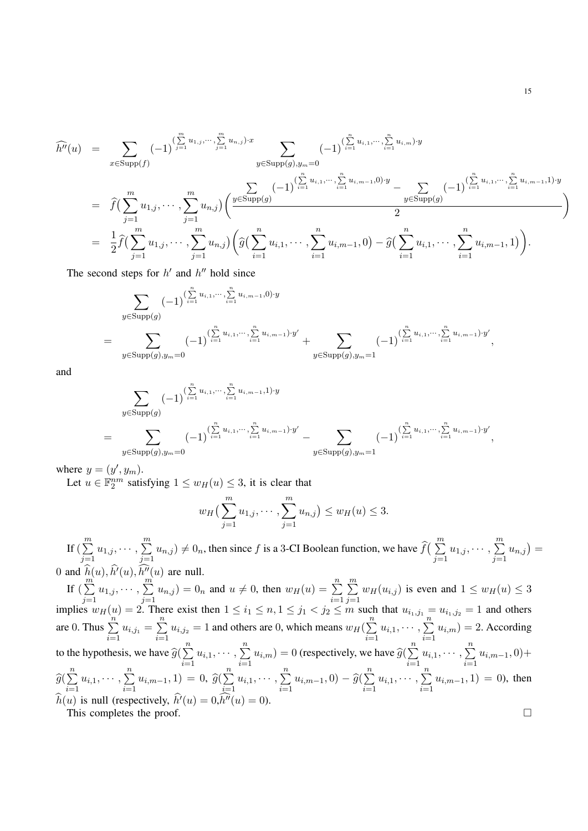$$
\widehat{h''}(u) = \sum_{x \in \text{Supp}(f)} (-1)^{\left(\sum_{j=1}^{m} u_{1,j}, \dots, \sum_{j=1}^{m} u_{n,j}\right) \cdot x} \sum_{y \in \text{Supp}(g), y_m = 0} (-1)^{\left(\sum_{i=1}^{n} u_{i,1}, \dots, \sum_{i=1}^{n} u_{i,m}\right) \cdot y} (-1)^{\left(\sum_{i=1}^{n} u_{i,1}, \dots, \sum_{i=1}^{n} u_{i,m}\right) \cdot y} - \sum_{y \in \text{Supp}(g)} (-1)^{\left(\sum_{i=1}^{n} u_{i,1}, \dots, \sum_{i=1}^{n} u_{i,m-1,1}\right) \cdot y} \sum_{y \in \text{Supp}(g)} (-1)^{\left(\sum_{i=1}^{n} u_{i,1}, \dots, \sum_{i=1}^{n} u_{i,m-1,1}\right) \cdot y} \sum_{y \in \text{Supp}(g)} (-1)^{\left(\sum_{i=1}^{n} u_{i,1}, \dots, \sum_{i=1}^{n} u_{i,m-1,1}\right) \cdot y} \sum_{j=1}^m u_{j,j} \cdot \left(\widehat{g}\left(\sum_{i=1}^n u_{i,1}, \dots, \sum_{i=1}^n u_{i,m-1,0}\right) - \widehat{g}\left(\sum_{i=1}^n u_{i,1}, \dots, \sum_{i=1}^n u_{i,m-1,1}\right)\right).
$$

The second steps for  $h'$  and  $h''$  hold since

$$
\sum_{y \in \text{Supp}(g)} (-1)^{(\sum_{i=1}^{n} u_{i,1}, \dots, \sum_{i=1}^{n} u_{i,m-1},0) \cdot y} \\
= \sum_{y \in \text{Supp}(g), y_m = 0} (-1)^{(\sum_{i=1}^{n} u_{i,1}, \dots, \sum_{i=1}^{n} u_{i,m-1}) \cdot y'} + \sum_{y \in \text{Supp}(g), y_m = 1} (-1)^{(\sum_{i=1}^{n} u_{i,1}, \dots, \sum_{i=1}^{n} u_{i,m-1}) \cdot y'},
$$

and

$$
\sum_{y \in \text{Supp}(g)} (-1)^{(\sum_{i=1}^{n} u_{i,1}, \dots, \sum_{i=1}^{n} u_{i,m-1}, 1) \cdot y}
$$
\n
$$
= \sum_{y \in \text{Supp}(g), y_m = 0} (-1)^{(\sum_{i=1}^{n} u_{i,1}, \dots, \sum_{i=1}^{n} u_{i,m-1}) \cdot y'} - \sum_{y \in \text{Supp}(g), y_m = 1} (-1)^{(\sum_{i=1}^{n} u_{i,1}, \dots, \sum_{i=1}^{n} u_{i,m-1}) \cdot y'},
$$

where  $y = (y', y_m)$ .

Let  $u \in \mathbb{F}_2^{nm}$  satisfying  $1 \le w_H(u) \le 3$ , it is clear that

$$
w_H\left(\sum_{j=1}^m u_{1,j}, \cdots, \sum_{j=1}^m u_{n,j}\right) \le w_H(u) \le 3.
$$

If  $\left(\sum_{i=1}^m u_{1,j}, \cdots, \sum_{i=1}^m u_{n,j}\right) \neq 0_n$ , then since f is a 3-CI Boolean function, we have  $\widehat{f}\left(\sum_{i=1}^m u_{1,j}, \cdots, \sum_{i=1}^m u_{n,j}\right) =$  $j=1$   $j=1$   $j=1$   $j=1$ 0 and  $\hat{h}(u)$ ,  $\hat{h}'(u)$ ,  $\hat{h}''(u)$  are null.

If  $(\sum^{m^2}$  $j=1$  $u_{1,j}, \cdots, \, \sum\limits^m$  $j=1$  $u_{n,j}$  = 0<sub>n</sub> and  $u \neq 0$ , then  $w_H(u) = \sum_{n=1}^{\infty}$  $i=1$  $\sum_{i=1}^{m}$  $j=1$  $w_H(u_{i,j})$  is even and  $1 \leq w_H(u) \leq 3$ implies  $w_H(u) = 2$ . There exist then  $1 \le i_1 \le n, 1 \le j_1 < j_2 \le m$  such that  $u_{i_1,j_1} = u_{i_1,j_2} = 1$  and others are 0. Thus  $\sum_{n=1}^{\infty}$  $\sum_{i=1}^n u_{i,j_1} = \sum_{i=1}^n$  $\sum_{i=1}^{n} u_{i,j_2} = 1$  and others are 0, which means  $w_H(\sum_{i=1}^{n} u_i)$  $i=1$  $u_{i,1}, \cdots, \sum^{n}$  $i=1$  $u_{i,m}$ ) = 2. According to the hypothesis, we have  $\widehat{g}(\theta)$  $\sum_{n=1}^{\infty}$  $i=1$  $u_{i,1}, \cdots, \sum^{n}$  $\sum_{i=1} u_{i,m} = 0$  (respectively, we have  $\hat{g}$ )  $\sum_{n=1}^{\infty}$  $i=1$  $u_{i,1}, \cdots, \sum^{n}$  $i=1$  $u_{i,m-1}, 0)+$  $\widehat{g}(\hat{z})$  $\sum_{n=1}^{\infty}$  $\frac{i=1}{i}$  $u_{i,1}, \cdots, \sum^{n}$  $\sum_{i=1} u_{i,m-1}, 1) = 0, \,\hat{g}(\theta)$  $\sum_{n=1}^{\infty}$  $i=1$  $u_{i,1}, \cdots, \sum^{n}$  $\sum_{i=1}^{n} u_{i,m-1}, 0) - \widehat{g}(\sum_{i=1}^{n}$  $i=1$  $u_{i,1}, \cdots, \sum^{n}$  $i=1$  $u_{i,m-1}, 1) = 0$ , then  $\widehat{h}(u)$  is null (respectively,  $\widehat{h}'(u) = 0, \widehat{h''}(u) = 0$ ). This completes the proof.  $\Box$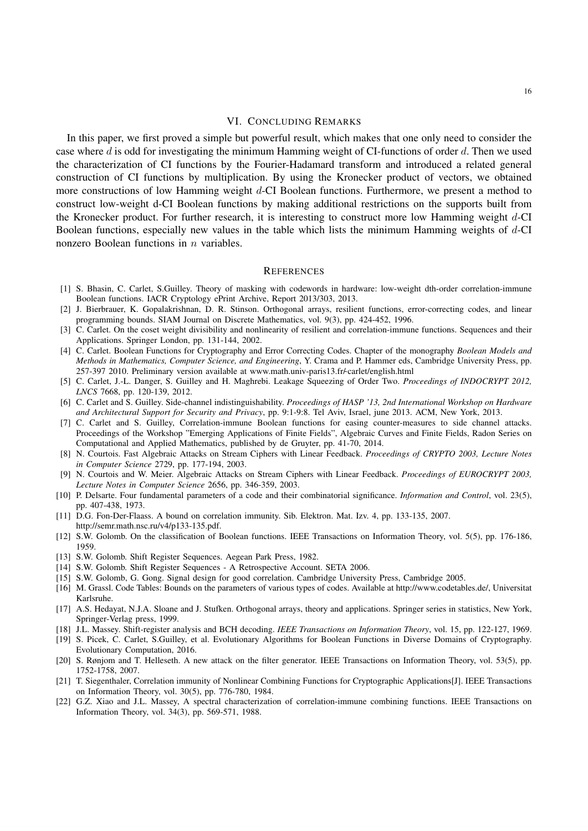## VI. CONCLUDING REMARKS

In this paper, we first proved a simple but powerful result, which makes that one only need to consider the case where d is odd for investigating the minimum Hamming weight of CI-functions of order  $d$ . Then we used the characterization of CI functions by the Fourier-Hadamard transform and introduced a related general construction of CI functions by multiplication. By using the Kronecker product of vectors, we obtained more constructions of low Hamming weight d-CI Boolean functions. Furthermore, we present a method to construct low-weight d-CI Boolean functions by making additional restrictions on the supports built from the Kronecker product. For further research, it is interesting to construct more low Hamming weight d-CI Boolean functions, especially new values in the table which lists the minimum Hamming weights of d-CI nonzero Boolean functions in  $n$  variables.

#### **REFERENCES**

- [1] S. Bhasin, C. Carlet, S.Guilley. Theory of masking with codewords in hardware: low-weight dth-order correlation-immune Boolean functions. IACR Cryptology ePrint Archive, Report 2013/303, 2013.
- [2] J. Bierbrauer, K. Gopalakrishnan, D. R. Stinson. Orthogonal arrays, resilient functions, error-correcting codes, and linear programming bounds. SIAM Journal on Discrete Mathematics, vol. 9(3), pp. 424-452, 1996.
- [3] C. Carlet. On the coset weight divisibility and nonlinearity of resilient and correlation-immune functions. Sequences and their Applications. Springer London, pp. 131-144, 2002.
- [4] C. Carlet. Boolean Functions for Cryptography and Error Correcting Codes. Chapter of the monography *Boolean Models and Methods in Mathematics, Computer Science, and Engineering*, Y. Crama and P. Hammer eds, Cambridge University Press, pp. 257-397 2010. Preliminary version available at www.math.univ-paris13.fr/-carlet/english.html
- [5] C. Carlet, J.-L. Danger, S. Guilley and H. Maghrebi. Leakage Squeezing of Order Two. *Proceedings of INDOCRYPT 2012, LNCS* 7668, pp. 120-139, 2012.
- [6] C. Carlet and S. Guilley. Side-channel indistinguishability. *Proceedings of HASP '13, 2nd International Workshop on Hardware and Architectural Support for Security and Privacy*, pp. 9:1-9:8. Tel Aviv, Israel, june 2013. ACM, New York, 2013.
- [7] C. Carlet and S. Guilley, Correlation-immune Boolean functions for easing counter-measures to side channel attacks. Proceedings of the Workshop "Emerging Applications of Finite Fields", Algebraic Curves and Finite Fields, Radon Series on Computational and Applied Mathematics, published by de Gruyter, pp. 41-70, 2014.
- [8] N. Courtois. Fast Algebraic Attacks on Stream Ciphers with Linear Feedback. *Proceedings of CRYPTO 2003, Lecture Notes in Computer Science* 2729, pp. 177-194, 2003.
- [9] N. Courtois and W. Meier. Algebraic Attacks on Stream Ciphers with Linear Feedback. *Proceedings of EUROCRYPT 2003, Lecture Notes in Computer Science* 2656, pp. 346-359, 2003.
- [10] P. Delsarte. Four fundamental parameters of a code and their combinatorial significance. *Information and Control*, vol. 23(5), pp. 407-438, 1973.
- [11] D.G. Fon-Der-Flaass. A bound on correlation immunity. Sib. Elektron. Mat. Izv. 4, pp. 133-135, 2007. http://semr.math.nsc.ru/v4/p133-135.pdf.
- [12] S.W. Golomb. On the classification of Boolean functions. IEEE Transactions on Information Theory, vol. 5(5), pp. 176-186, 1959.
- [13] S.W. Golomb. Shift Register Sequences. Aegean Park Press, 1982.
- [14] S.W. Golomb. Shift Register Sequences A Retrospective Account. SETA 2006.
- [15] S.W. Golomb, G. Gong. Signal design for good correlation. Cambridge University Press, Cambridge 2005.
- [16] M. Grassl. Code Tables: Bounds on the parameters of various types of codes. Available at http://www.codetables.de/, Universitat Karlsruhe.
- [17] A.S. Hedayat, N.J.A. Sloane and J. Stufken. Orthogonal arrays, theory and applications. Springer series in statistics, New York, Springer-Verlag press, 1999.
- [18] J.L. Massey. Shift-register analysis and BCH decoding. *IEEE Transactions on Information Theory*, vol. 15, pp. 122-127, 1969.
- [19] S. Picek, C. Carlet, S.Guilley, et al. Evolutionary Algorithms for Boolean Functions in Diverse Domains of Cryptography. Evolutionary Computation, 2016.
- [20] S. Rønjom and T. Helleseth. A new attack on the filter generator. IEEE Transactions on Information Theory, vol. 53(5), pp. 1752-1758, 2007.
- [21] T. Siegenthaler, Correlation immunity of Nonlinear Combining Functions for Cryptographic Applications[J]. IEEE Transactions on Information Theory, vol. 30(5), pp. 776-780, 1984.
- [22] G.Z. Xiao and J.L. Massey, A spectral characterization of correlation-immune combining functions. IEEE Transactions on Information Theory, vol. 34(3), pp. 569-571, 1988.